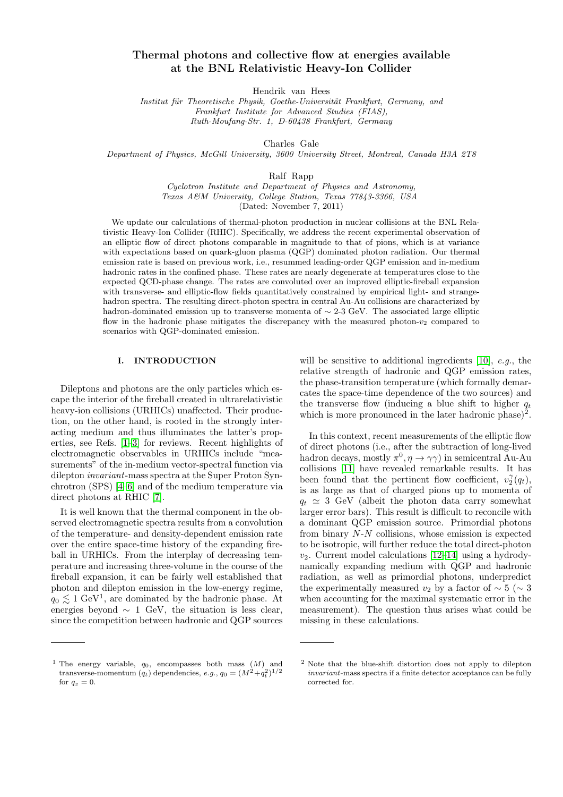# Thermal photons and collective flow at energies available at the BNL Relativistic Heavy-Ion Collider

Hendrik van Hees

Institut für Theoretische Physik, Goethe-Universität Frankfurt, Germany, and Frankfurt Institute for Advanced Studies (FIAS), Ruth-Moufang-Str. 1, D-60438 Frankfurt, Germany

Charles Gale

Department of Physics, McGill University, 3600 University Street, Montreal, Canada H3A 2T8

Ralf Rapp

Cyclotron Institute and Department of Physics and Astronomy, Texas A&M University, College Station, Texas 77843-3366, USA (Dated: November 7, 2011)

We update our calculations of thermal-photon production in nuclear collisions at the BNL Relativistic Heavy-Ion Collider (RHIC). Specifically, we address the recent experimental observation of an elliptic flow of direct photons comparable in magnitude to that of pions, which is at variance with expectations based on quark-gluon plasma (QGP) dominated photon radiation. Our thermal emission rate is based on previous work, i.e., resummed leading-order QGP emission and in-medium hadronic rates in the confined phase. These rates are nearly degenerate at temperatures close to the expected QCD-phase change. The rates are convoluted over an improved elliptic-fireball expansion with transverse- and elliptic-flow fields quantitatively constrained by empirical light- and strangehadron spectra. The resulting direct-photon spectra in central Au-Au collisions are characterized by hadron-dominated emission up to transverse momenta of  $\sim$  2-3 GeV. The associated large elliptic flow in the hadronic phase mitigates the discrepancy with the measured photon- $v_2$  compared to scenarios with QGP-dominated emission.

# I. INTRODUCTION

Dileptons and photons are the only particles which escape the interior of the fireball created in ultrarelativistic heavy-ion collisions (URHICs) unaffected. Their production, on the other hand, is rooted in the strongly interacting medium and thus illuminates the latter's properties, see Refs. [\[1](#page-8-0)[–3\]](#page-8-1) for reviews. Recent highlights of electromagnetic observables in URHICs include "measurements" of the in-medium vector-spectral function via dilepton invariant-mass spectra at the Super Proton Synchrotron (SPS) [\[4–](#page-8-2)[6\]](#page-8-3) and of the medium temperature via direct photons at RHIC [\[7\]](#page-8-4).

It is well known that the thermal component in the observed electromagnetic spectra results from a convolution of the temperature- and density-dependent emission rate over the entire space-time history of the expanding fireball in URHICs. From the interplay of decreasing temperature and increasing three-volume in the course of the fireball expansion, it can be fairly well established that photon and dilepton emission in the low-energy regime,  $q_0 \lesssim 1 \text{ GeV}^1$ , are dominated by the hadronic phase. At energies beyond  $\sim 1$  GeV, the situation is less clear, since the competition between hadronic and QGP sources will be sensitive to additional ingredients  $[10]$ , e.g., the relative strength of hadronic and QGP emission rates, the phase-transition temperature (which formally demarcates the space-time dependence of the two sources) and the transverse flow (inducing a blue shift to higher  $q_t$ which is more pronounced in the later hadronic phase)<sup>2</sup>.

In this context, recent measurements of the elliptic flow of direct photons (i.e., after the subtraction of long-lived hadron decays, mostly  $\pi^0$ ,  $\eta \to \gamma \gamma$  in semicentral Au-Au collisions [\[11\]](#page-8-6) have revealed remarkable results. It has been found that the pertinent flow coefficient,  $v_2^{\gamma}(q_t)$ , is as large as that of charged pions up to momenta of  $q_t \approx 3$  GeV (albeit the photon data carry somewhat larger error bars). This result is difficult to reconcile with a dominant QGP emission source. Primordial photons from binary N-N collisions, whose emission is expected to be isotropic, will further reduce the total direct-photon  $v_2$ . Current model calculations [\[12](#page-8-7)[–14\]](#page-8-8) using a hydrodynamically expanding medium with QGP and hadronic radiation, as well as primordial photons, underpredict the experimentally measured  $v_2$  by a factor of  $\sim 5$  ( $\sim 3$ when accounting for the maximal systematic error in the measurement). The question thus arises what could be missing in these calculations.

<sup>&</sup>lt;sup>1</sup> The energy variable,  $q_0$ , encompasses both mass  $(M)$  and transverse-momentum  $(q_t)$  dependencies, e.g.,  $q_0 = (M^2 + q_t^2)^{1/2}$ for  $q_z = 0$ .

<sup>2</sup> Note that the blue-shift distortion does not apply to dilepton invariant-mass spectra if a finite detector acceptance can be fully corrected for.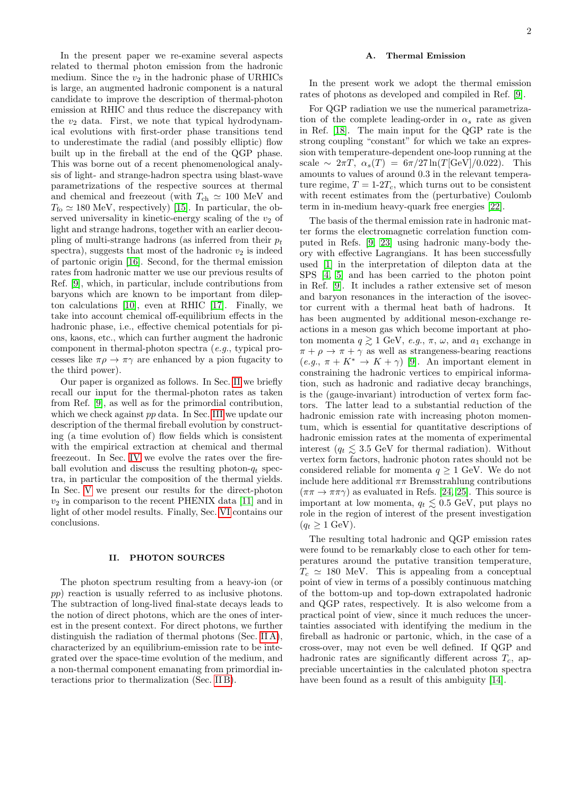In the present paper we re-examine several aspects related to thermal photon emission from the hadronic medium. Since the  $v_2$  in the hadronic phase of URHICs is large, an augmented hadronic component is a natural candidate to improve the description of thermal-photon emission at RHIC and thus reduce the discrepancy with the  $v_2$  data. First, we note that typical hydrodynamical evolutions with first-order phase transitions tend to underestimate the radial (and possibly elliptic) flow built up in the fireball at the end of the QGP phase. This was borne out of a recent phenomenological analysis of light- and strange-hadron spectra using blast-wave parametrizations of the respective sources at thermal and chemical and freezeout (with  $T_{ch} \simeq 100$  MeV and  $T_{\text{fo}} \simeq 180 \text{ MeV}$ , respectively) [\[15\]](#page-8-9). In particular, the observed universality in kinetic-energy scaling of the  $v_2$  of light and strange hadrons, together with an earlier decoupling of multi-strange hadrons (as inferred from their  $p_t$ spectra), suggests that most of the hadronic  $v_2$  is indeed of partonic origin [\[16\]](#page-8-10). Second, for the thermal emission rates from hadronic matter we use our previous results of Ref. [\[9\]](#page-8-11), which, in particular, include contributions from baryons which are known to be important from dilepton calculations [\[10\]](#page-8-5), even at RHIC [\[17\]](#page-8-12). Finally, we take into account chemical off-equilibrium effects in the hadronic phase, i.e., effective chemical potentials for pions, kaons, etc., which can further augment the hadronic component in thermal-photon spectra (e.g., typical processes like  $\pi \rho \to \pi \gamma$  are enhanced by a pion fugacity to the third power).

Our paper is organized as follows. In Sec. [II](#page-1-0) we briefly recall our input for the thermal-photon rates as taken from Ref. [\[9\]](#page-8-11), as well as for the primordial contribution, which we check against pp data. In Sec. [III](#page-2-0) we update our description of the thermal fireball evolution by constructing (a time evolution of) flow fields which is consistent with the empirical extraction at chemical and thermal freezeout. In Sec. [IV](#page-3-0) we evolve the rates over the fireball evolution and discuss the resulting photon- $q_t$  spectra, in particular the composition of the thermal yields. In Sec. [V](#page-7-0) we present our results for the direct-photon  $v_2$  in comparison to the recent PHENIX data [\[11\]](#page-8-6) and in light of other model results. Finally, Sec. [VI](#page-7-1) contains our conclusions.

#### <span id="page-1-0"></span>II. PHOTON SOURCES

The photon spectrum resulting from a heavy-ion (or pp) reaction is usually referred to as inclusive photons. The subtraction of long-lived final-state decays leads to the notion of direct photons, which are the ones of interest in the present context. For direct photons, we further distinguish the radiation of thermal photons (Sec. [II A\)](#page-1-1), characterized by an equilibrium-emission rate to be integrated over the space-time evolution of the medium, and a non-thermal component emanating from primordial interactions prior to thermalization (Sec. [II B\)](#page-2-1).

# <span id="page-1-1"></span>A. Thermal Emission

In the present work we adopt the thermal emission rates of photons as developed and compiled in Ref. [\[9\]](#page-8-11).

For QGP radiation we use the numerical parametrization of the complete leading-order in  $\alpha_s$  rate as given in Ref. [\[18\]](#page-8-13). The main input for the QGP rate is the strong coupling "constant" for which we take an expression with temperature-dependent one-loop running at the scale  $\sim 2\pi T$ ,  $\alpha_s(T) = 6\pi/27 \ln(T[\text{GeV}]/0.022)$ . This amounts to values of around 0.3 in the relevant temperature regime,  $T = 1-2T_c$ , which turns out to be consistent with recent estimates from the (perturbative) Coulomb term in in-medium heavy-quark free energies [\[22\]](#page-8-14).

The basis of the thermal emission rate in hadronic matter forms the electromagnetic correlation function computed in Refs. [\[9,](#page-8-11) [23\]](#page-8-15) using hadronic many-body theory with effective Lagrangians. It has been successfully used [\[1\]](#page-8-0) in the interpretation of dilepton data at the SPS [\[4,](#page-8-2) [5\]](#page-8-16) and has been carried to the photon point in Ref. [\[9\]](#page-8-11). It includes a rather extensive set of meson and baryon resonances in the interaction of the isovector current with a thermal heat bath of hadrons. It has been augmented by additional meson-exchange reactions in a meson gas which become important at photon momenta  $q \gtrsim 1$  GeV, e.g.,  $\pi$ ,  $\omega$ , and  $a_1$  exchange in  $\pi + \rho \rightarrow \pi + \gamma$  as well as strangeness-bearing reactions  $(e.g., \pi + K^* \to K + \gamma)$  [\[9\]](#page-8-11). An important element in constraining the hadronic vertices to empirical information, such as hadronic and radiative decay branchings, is the (gauge-invariant) introduction of vertex form factors. The latter lead to a substantial reduction of the hadronic emission rate with increasing photon momentum, which is essential for quantitative descriptions of hadronic emission rates at the momenta of experimental interest ( $q_t \lesssim 3.5$  GeV for thermal radiation). Without vertex form factors, hadronic photon rates should not be considered reliable for momenta  $q \geq 1$  GeV. We do not include here additional  $\pi\pi$  Bremsstrahlung contributions  $(\pi \pi \rightarrow \pi \pi \gamma)$  as evaluated in Refs. [\[24,](#page-8-17) [25\]](#page-8-18). This source is important at low momenta,  $q_t \lesssim 0.5$  GeV, put plays no role in the region of interest of the present investigation  $(q_t > 1 \text{ GeV}).$ 

The resulting total hadronic and QGP emission rates were found to be remarkably close to each other for temperatures around the putative transition temperature,  $T_c \simeq 180$  MeV. This is appealing from a conceptual point of view in terms of a possibly continuous matching of the bottom-up and top-down extrapolated hadronic and QGP rates, respectively. It is also welcome from a practical point of view, since it much reduces the uncertainties associated with identifying the medium in the fireball as hadronic or partonic, which, in the case of a cross-over, may not even be well defined. If QGP and hadronic rates are significantly different across  $T_c$ , appreciable uncertainties in the calculated photon spectra have been found as a result of this ambiguity [\[14\]](#page-8-8).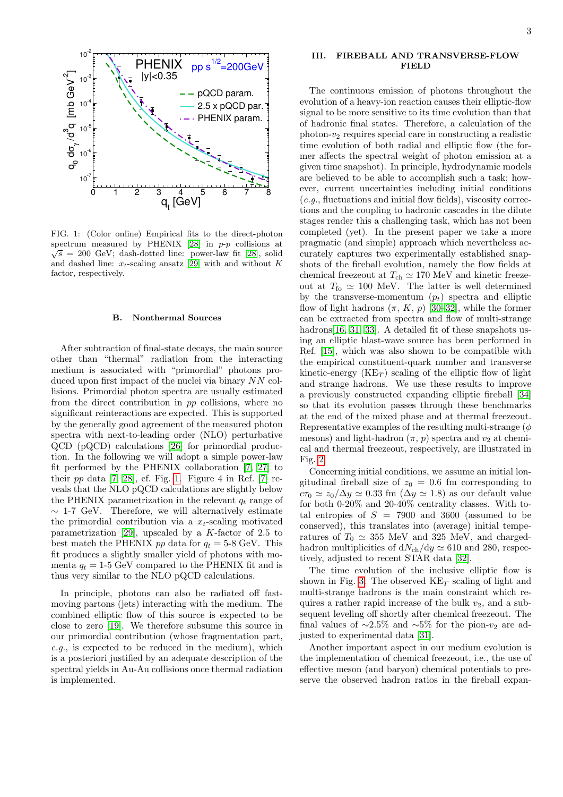

<span id="page-2-2"></span>FIG. 1: (Color online) Empirical fits to the direct-photon spectrum measured by PHENIX [\[28\]](#page-8-19) in  $p-p$  collisions at  $\sqrt{s}$  = 200 GeV; dash-dotted line: power-law fit [\[28\]](#page-8-19), solid and dashed line:  $x_t$ -scaling ansatz [\[29\]](#page-8-20) with and without K factor, respectively.

#### <span id="page-2-1"></span>B. Nonthermal Sources

After subtraction of final-state decays, the main source other than "thermal" radiation from the interacting medium is associated with "primordial" photons produced upon first impact of the nuclei via binary NN collisions. Primordial photon spectra are usually estimated from the direct contribution in pp collisions, where no significant reinteractions are expected. This is supported by the generally good agreement of the measured photon spectra with next-to-leading order (NLO) perturbative QCD (pQCD) calculations [\[26\]](#page-8-21) for primordial production. In the following we will adopt a simple power-law fit performed by the PHENIX collaboration [\[7,](#page-8-4) [27\]](#page-8-22) to their  $pp$  data [\[7,](#page-8-4) [28\]](#page-8-19), cf. Fig. [1.](#page-2-2) Figure 4 in Ref. [\[7\]](#page-8-4) reveals that the NLO pQCD calculations are slightly below the PHENIX parametrization in the relevant  $q_t$  range of  $\sim$  1-7 GeV. Therefore, we will alternatively estimate the primordial contribution via a  $x_t$ -scaling motivated parametrization [\[29\]](#page-8-20), upscaled by a  $K$ -factor of 2.5 to best match the PHENIX pp data for  $q_t = 5{\text -}8 \text{ GeV}$ . This fit produces a slightly smaller yield of photons with momenta  $q_t = 1.5$  GeV compared to the PHENIX fit and is thus very similar to the NLO pQCD calculations.

In principle, photons can also be radiated off fastmoving partons (jets) interacting with the medium. The combined elliptic flow of this source is expected to be close to zero [\[19\]](#page-8-23). We therefore subsume this source in our primordial contribution (whose fragmentation part, e.g., is expected to be reduced in the medium), which is a posteriori justified by an adequate description of the spectral yields in Au-Au collisions once thermal radiation is implemented.

### <span id="page-2-0"></span>III. FIREBALL AND TRANSVERSE-FLOW FIELD

The continuous emission of photons throughout the evolution of a heavy-ion reaction causes their elliptic-flow signal to be more sensitive to its time evolution than that of hadronic final states. Therefore, a calculation of the photon- $v_2$  requires special care in constructing a realistic time evolution of both radial and elliptic flow (the former affects the spectral weight of photon emission at a given time snapshot). In principle, hydrodynamic models are believed to be able to accomplish such a task; however, current uncertainties including initial conditions (e.g., fluctuations and initial flow fields), viscosity corrections and the coupling to hadronic cascades in the dilute stages render this a challenging task, which has not been completed (yet). In the present paper we take a more pragmatic (and simple) approach which nevertheless accurately captures two experimentally established snapshots of the fireball evolution, namely the flow fields at chemical freezeout at  $T_{ch} \simeq 170 \text{ MeV}$  and kinetic freezeout at  $T_{\text{fo}} \simeq 100 \text{ MeV}$ . The latter is well determined by the transverse-momentum  $(p_t)$  spectra and elliptic flow of light hadrons  $(\pi, K, p)$  [\[30](#page-8-24)[–32\]](#page-8-25), while the former can be extracted from spectra and flow of multi-strange hadrons[\[16,](#page-8-10) [31,](#page-8-26) [33\]](#page-8-27). A detailed fit of these snapshots using an elliptic blast-wave source has been performed in Ref. [\[15\]](#page-8-9), which was also shown to be compatible with the empirical constituent-quark number and transverse kinetic-energy  $(KE_T)$  scaling of the elliptic flow of light and strange hadrons. We use these results to improve a previously constructed expanding elliptic fireball [\[34\]](#page-8-28) so that its evolution passes through these benchmarks at the end of the mixed phase and at thermal freezeout. Representative examples of the resulting multi-strange  $(\phi)$ mesons) and light-hadron  $(\pi, p)$  spectra and  $v_2$  at chemical and thermal freezeout, respectively, are illustrated in Fig. [2.](#page-3-1)

Concerning initial conditions, we assume an initial longitudinal fireball size of  $z_0 = 0.6$  fm corresponding to  $c\tau_0 \simeq z_0/\Delta y \simeq 0.33$  fm  $(\Delta y \simeq 1.8)$  as our default value for both 0-20% and 20-40% centrality classes. With total entropies of  $S = 7900$  and 3600 (assumed to be conserved), this translates into (average) initial temperatures of  $T_0 \simeq 355$  MeV and 325 MeV, and chargedhadron multiplicities of  $dN_{ch}/dy \simeq 610$  and 280, respectively, adjusted to recent STAR data [\[32\]](#page-8-25).

The time evolution of the inclusive elliptic flow is shown in Fig. [3.](#page-4-0) The observed  $\text{KE}_T$  scaling of light and multi-strange hadrons is the main constraint which requires a rather rapid increase of the bulk  $v_2$ , and a subsequent leveling off shortly after chemical freezeout. The final values of  $~\sim 2.5\%$  and  $~\sim 5\%$  for the pion- $v_2$  are adjusted to experimental data [\[31\]](#page-8-26).

Another important aspect in our medium evolution is the implementation of chemical freezeout, i.e., the use of effective meson (and baryon) chemical potentials to preserve the observed hadron ratios in the fireball expan-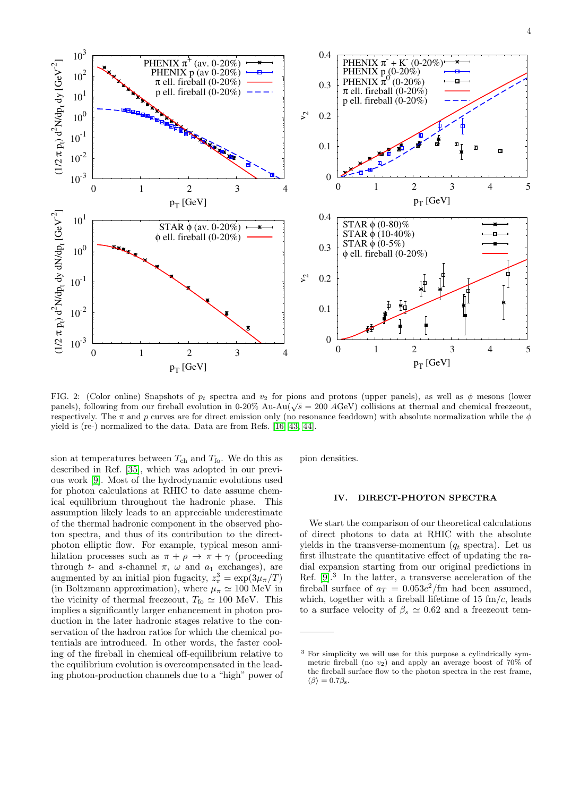

<span id="page-3-1"></span>FIG. 2: (Color online) Snapshots of  $p_t$  spectra and  $v_2$  for pions and protons (upper panels), as well as  $\phi$  mesons (lower FIG. 2: (Color offline) shapshots of  $p_t$  spectra and  $v_2$  for pions and protons (upper panels), as well as  $\varphi$  mesons (lower panels), following from our fireball evolution in 0-20% Au-Au( $\sqrt{s}$  = 200 AGeV) collisions respectively. The  $\pi$  and p curves are for direct emission only (no resonance feeddown) with absolute normalization while the  $\phi$ yield is (re-) normalized to the data. Data are from Refs. [\[16,](#page-8-10) [43,](#page-9-0) [44\]](#page-9-1).

sion at temperatures between  $T_{ch}$  and  $T_{fo}$ . We do this as described in Ref. [\[35\]](#page-8-29), which was adopted in our previous work [\[9\]](#page-8-11). Most of the hydrodynamic evolutions used for photon calculations at RHIC to date assume chemical equilibrium throughout the hadronic phase. This assumption likely leads to an appreciable underestimate of the thermal hadronic component in the observed photon spectra, and thus of its contribution to the directphoton elliptic flow. For example, typical meson annihilation processes such as  $\pi + \rho \to \pi + \gamma$  (proceeding through t- and s-channel  $\pi$ ,  $\omega$  and  $a_1$  exchanges), are augmented by an initial pion fugacity,  $z_{\pi}^3 = \exp(3\mu_{\pi}/T)$ (in Boltzmann approximation), where  $\mu_{\pi} \simeq 100 \text{ MeV}$  in the vicinity of thermal freezeout,  $T_{\text{fo}} \simeq 100 \text{ MeV}$ . This implies a significantly larger enhancement in photon production in the later hadronic stages relative to the conservation of the hadron ratios for which the chemical potentials are introduced. In other words, the faster cooling of the fireball in chemical off-equilibrium relative to the equilibrium evolution is overcompensated in the leading photon-production channels due to a "high" power of pion densities.

#### <span id="page-3-0"></span>IV. DIRECT-PHOTON SPECTRA

We start the comparison of our theoretical calculations of direct photons to data at RHIC with the absolute yields in the transverse-momentum  $(q_t \text{ spectra})$ . Let us first illustrate the quantitative effect of updating the radial expansion starting from our original predictions in Ref. [\[9\]](#page-8-11).<sup>3</sup> In the latter, a transverse acceleration of the fireball surface of  $a_T = 0.053c^2$ /fm had been assumed, which, together with a fireball lifetime of 15  $\text{fm}/c$ , leads to a surface velocity of  $\beta_s \simeq 0.62$  and a freezeout tem-

<sup>3</sup> For simplicity we will use for this purpose a cylindrically symmetric fireball (no  $v_2$ ) and apply an average boost of 70% of the fireball surface flow to the photon spectra in the rest frame,  $\langle \beta \rangle = 0.7 \beta_s$ .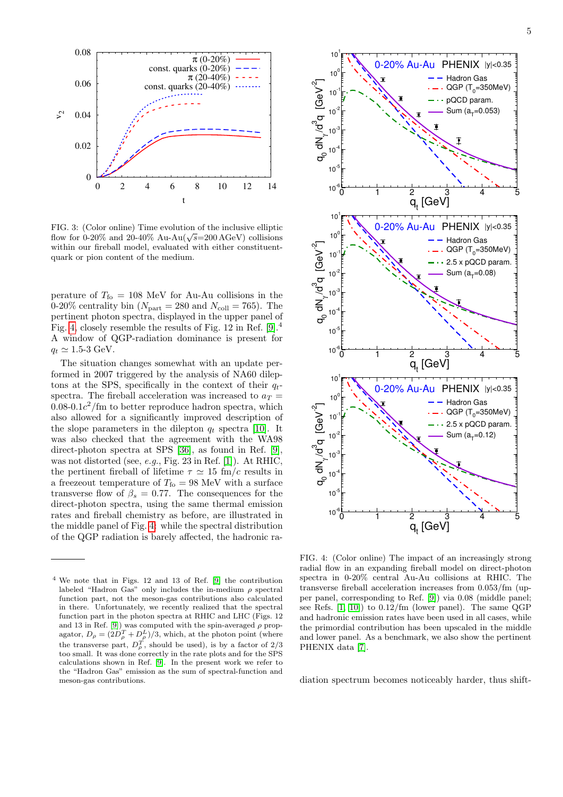

<span id="page-4-0"></span>FIG. 3: (Color online) Time evolution of the inclusive elliptic FIG. 3: (Color omine) Time evolution of the inclusive emptic<br>flow for 0-20% and 20-40% Au-Au( $\sqrt{s}$ =200 AGeV) collisions within our fireball model, evaluated with either constituentquark or pion content of the medium.

perature of  $T_{\rm fo}$  = 108 MeV for Au-Au collisions in the 0-20% centrality bin ( $N_{\text{part}} = 280$  and  $N_{\text{coll}} = 765$ ). The pertinent photon spectra, displayed in the upper panel of Fig. [4,](#page-4-1) closely resemble the results of Fig. 12 in Ref. [\[9\]](#page-8-11).<sup>4</sup> A window of QGP-radiation dominance is present for  $q_t \simeq 1.5$ -3 GeV.

The situation changes somewhat with an update performed in 2007 triggered by the analysis of NA60 dileptons at the SPS, specifically in the context of their  $q_t$ spectra. The fireball acceleration was increased to  $a_T =$  $0.08\times0.1c^2$ /fm to better reproduce hadron spectra, which also allowed for a significantly improved description of the slope parameters in the dilepton  $q_t$  spectra [\[10\]](#page-8-5). It was also checked that the agreement with the WA98 direct-photon spectra at SPS [\[36\]](#page-8-30), as found in Ref. [\[9\]](#page-8-11), was not distorted (see, e.g., Fig. 23 in Ref. [\[1\]](#page-8-0)). At RHIC, the pertinent fireball of lifetime  $\tau \simeq 15$  fm/c results in a freezeout temperature of  $T_{\text{fo}} = 98 \text{ MeV}$  with a surface transverse flow of  $\beta_s = 0.77$ . The consequences for the direct-photon spectra, using the same thermal emission rates and fireball chemistry as before, are illustrated in the middle panel of Fig. [4:](#page-4-1) while the spectral distribution of the QGP radiation is barely affected, the hadronic ra-

<sup>4</sup> We note that in Figs. 12 and 13 of Ref. [\[9\]](#page-8-11) the contribution labeled "Hadron Gas" only includes the in-medium  $\rho$  spectral function part, not the meson-gas contributions also calculated in there. Unfortunately, we recently realized that the spectral function part in the photon spectra at RHIC and LHC (Figs. 12 and 13 in Ref. [\[9\]](#page-8-11)) was computed with the spin-averaged  $\rho$  propagator,  $D_{\rho} = (2D_{\rho}^{T} + D_{\rho}^{L})/3$ , which, at the photon point (where the transverse part,  $D_{\rho}^{T}$ , should be used), is by a factor of 2/3 too small. It was done correctly in the rate plots and for the SPS calculations shown in Ref. [\[9\]](#page-8-11). In the present work we refer to the "Hadron Gas" emission as the sum of spectral-function and meson-gas contributions.



<span id="page-4-1"></span>FIG. 4: (Color online) The impact of an increasingly strong radial flow in an expanding fireball model on direct-photon spectra in 0-20% central Au-Au collisions at RHIC. The transverse fireball acceleration increases from 0.053/fm (upper panel, corresponding to Ref. [\[9\]](#page-8-11)) via 0.08 (middle panel; see Refs. [\[1,](#page-8-0) [10\]](#page-8-5)) to 0.12/fm (lower panel). The same QGP and hadronic emission rates have been used in all cases, while the primordial contribution has been upscaled in the middle and lower panel. As a benchmark, we also show the pertinent PHENIX data [\[7\]](#page-8-4).

diation spectrum becomes noticeably harder, thus shift-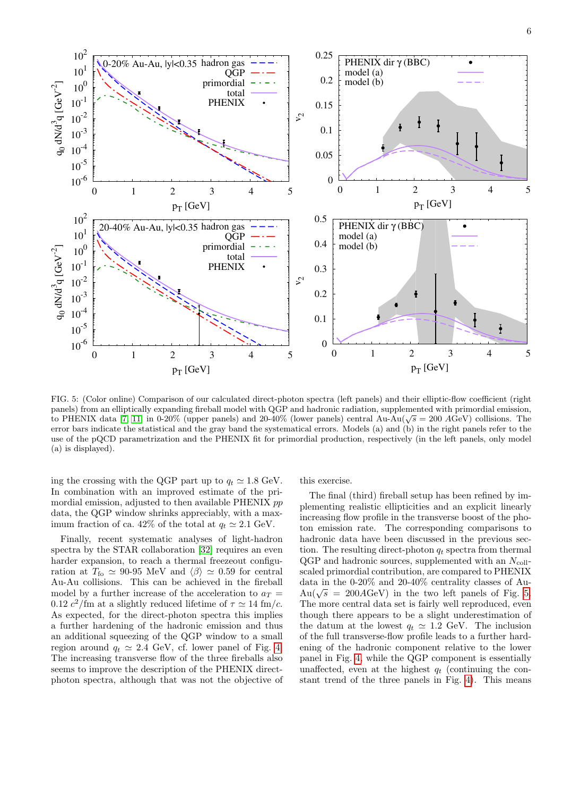

<span id="page-5-0"></span>FIG. 5: (Color online) Comparison of our calculated direct-photon spectra (left panels) and their elliptic-flow coefficient (right panels) from an elliptically expanding fireball model with QGP and hadronic radiation, supplemented with primordial emission, panels) from an empirically expanding fireball model with QGF and hadronic radiation, supplemented with primordial emission,<br>to PHENIX data [\[7,](#page-8-4) [11\]](#page-8-6) in 0-20% (upper panels) and 20-40% (lower panels) central Au-Au( $\sqrt{s} = 20$ error bars indicate the statistical and the gray band the systematical errors. Models (a) and (b) in the right panels refer to the use of the pQCD parametrization and the PHENIX fit for primordial production, respectively (in the left panels, only model (a) is displayed).

ing the crossing with the QGP part up to  $q_t \approx 1.8 \text{ GeV}$ . In combination with an improved estimate of the primordial emission, adjusted to then available PHENIX pp data, the QGP window shrinks appreciably, with a maximum fraction of ca. 42% of the total at  $q_t \approx 2.1 \text{ GeV}$ .

Finally, recent systematic analyses of light-hadron spectra by the STAR collaboration [\[32\]](#page-8-25) requires an even harder expansion, to reach a thermal freezeout configuration at  $T_{\text{fo}} \simeq 90{\text -}95 \text{ MeV}$  and  $\langle \beta \rangle \simeq 0.59$  for central Au-Au collisions. This can be achieved in the fireball model by a further increase of the acceleration to  $a_T =$ 0.12  $c^2$ /fm at a slightly reduced lifetime of  $\tau \simeq 14$  fm/c. As expected, for the direct-photon spectra this implies a further hardening of the hadronic emission and thus an additional squeezing of the QGP window to a small region around  $q_t \simeq 2.4$  GeV, cf. lower panel of Fig. [4.](#page-4-1) The increasing transverse flow of the three fireballs also seems to improve the description of the PHENIX directphoton spectra, although that was not the objective of

# this exercise.

The final (third) fireball setup has been refined by implementing realistic ellipticities and an explicit linearly increasing flow profile in the transverse boost of the photon emission rate. The corresponding comparisons to hadronic data have been discussed in the previous section. The resulting direct-photon  $q_t$  spectra from thermal  $QGP$  and hadronic sources, supplemented with an  $N_{\text{coll}}$ scaled primordial contribution, are compared to PHENIX data in the 0-20% and 20-40% centrality classes of Audata in the 0-20% and 20-40% centrality classes of Au-<br>Au( $\sqrt{s}$  = 200AGeV) in the two left panels of Fig. [5.](#page-5-0) The more central data set is fairly well reproduced, even though there appears to be a slight underestimation of the datum at the lowest  $q_t \approx 1.2$  GeV. The inclusion of the full transverse-flow profile leads to a further hardening of the hadronic component relative to the lower panel in Fig. [4,](#page-4-1) while the QGP component is essentially unaffected, even at the highest  $q_t$  (continuing the constant trend of the three panels in Fig. [4\)](#page-4-1). This means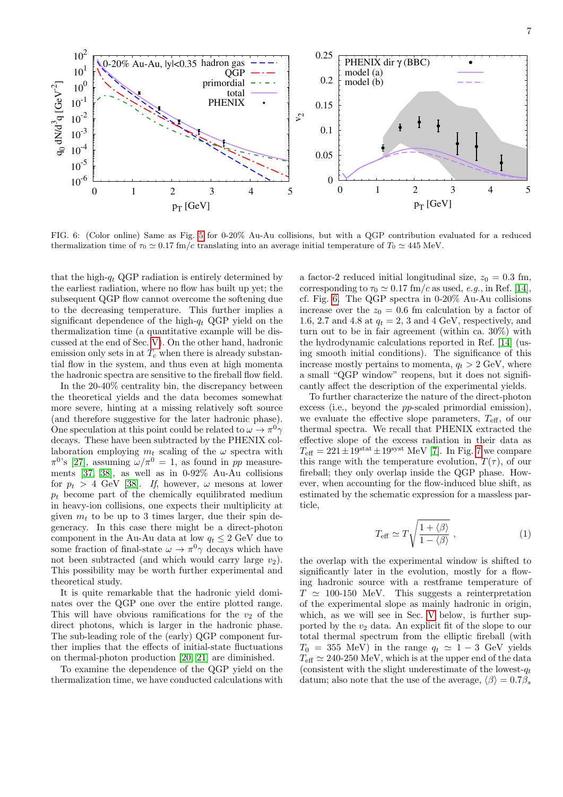

<span id="page-6-0"></span>FIG. 6: (Color online) Same as Fig. [5](#page-5-0) for 0-20% Au-Au collisions, but with a QGP contribution evaluated for a reduced thermalization time of  $\tau_0 \simeq 0.17$  fm/c translating into an average initial temperature of  $T_0 \simeq 445$  MeV.

that the high- $q_t$  QGP radiation is entirely determined by the earliest radiation, where no flow has built up yet; the subsequent QGP flow cannot overcome the softening due to the decreasing temperature. This further implies a significant dependence of the high- $q_t$  QGP yield on the thermalization time (a quantitative example will be discussed at the end of Sec. [V\)](#page-7-0). On the other hand, hadronic emission only sets in at  $T_c$  when there is already substantial flow in the system, and thus even at high momenta the hadronic spectra are sensitive to the fireball flow field.

In the 20-40% centrality bin, the discrepancy between the theoretical yields and the data becomes somewhat more severe, hinting at a missing relatively soft source (and therefore suggestive for the later hadronic phase). One speculation at this point could be related to  $\omega \to \pi^0 \gamma$ decays. These have been subtracted by the PHENIX collaboration employing  $m_t$  scaling of the  $\omega$  spectra with  $\pi^{0}$ 's [\[27\]](#page-8-22), assuming  $\omega/\pi^{0} = 1$ , as found in pp measurements [\[37,](#page-8-31) [38\]](#page-9-2), as well as in 0-92% Au-Au collisions for  $p_t > 4$  GeV [\[38\]](#page-9-2). If, however,  $\omega$  mesons at lower  $p_t$  become part of the chemically equilibrated medium in heavy-ion collisions, one expects their multiplicity at given  $m_t$  to be up to 3 times larger, due their spin degeneracy. In this case there might be a direct-photon component in the Au-Au data at low  $q_t \leq 2$  GeV due to some fraction of final-state  $\omega \to \pi^0 \gamma$  decays which have not been subtracted (and which would carry large  $v_2$ ). This possibility may be worth further experimental and theoretical study.

It is quite remarkable that the hadronic yield dominates over the QGP one over the entire plotted range. This will have obvious ramifications for the  $v_2$  of the direct photons, which is larger in the hadronic phase. The sub-leading role of the (early) QGP component further implies that the effects of initial-state fluctuations on thermal-photon production [\[20,](#page-8-32) [21\]](#page-8-33) are diminished.

To examine the dependence of the QGP yield on the thermalization time, we have conducted calculations with a factor-2 reduced initial longitudinal size,  $z_0 = 0.3$  fm, corresponding to  $\tau_0 \simeq 0.17$  fm/c as used, e.g., in Ref. [\[14\]](#page-8-8), cf. Fig. [6.](#page-6-0) The QGP spectra in 0-20% Au-Au collisions increase over the  $z_0 = 0.6$  fm calculation by a factor of 1.6, 2.7 and 4.8 at  $q_t = 2$ , 3 and 4 GeV, respectively, and turn out to be in fair agreement (within ca. 30%) with the hydrodynamic calculations reported in Ref. [\[14\]](#page-8-8) (using smooth initial conditions). The significance of this increase mostly pertains to momenta,  $q_t > 2$  GeV, where a small "QGP window" reopens, but it does not significantly affect the description of the experimental yields.

To further characterize the nature of the direct-photon excess (i.e., beyond the pp-scaled primordial emission), we evaluate the effective slope parameters,  $T_{\text{eff}}$ , of our thermal spectra. We recall that PHENIX extracted the effective slope of the excess radiation in their data as  $T_{\text{eff}} = 221 \pm 19^{\text{stat}} \pm 19^{\text{syst}}$  MeV [\[7\]](#page-8-4). In Fig. [7](#page-7-2) we compare this range with the temperature evolution,  $T(\tau)$ , of our fireball; they only overlap inside the QGP phase. However, when accounting for the flow-induced blue shift, as estimated by the schematic expression for a massless particle,

<span id="page-6-1"></span>
$$
T_{\text{eff}} \simeq T \sqrt{\frac{1 + \langle \beta \rangle}{1 - \langle \beta \rangle}} \,, \tag{1}
$$

the overlap with the experimental window is shifted to significantly later in the evolution, mostly for a flowing hadronic source with a restframe temperature of  $T \simeq 100-150$  MeV. This suggests a reinterpretation of the experimental slope as mainly hadronic in origin, which, as we will see in Sec. [V](#page-7-0) below, is further supported by the  $v_2$  data. An explicit fit of the slope to our total thermal spectrum from the elliptic fireball (with  $T_0 = 355$  MeV) in the range  $q_t \simeq 1 - 3$  GeV yields  $T_{\text{eff}} \simeq 240{\text -}250 \text{ MeV}$ , which is at the upper end of the data (consistent with the slight underestimate of the lowest- $q_t$ ) datum; also note that the use of the average,  $\langle \beta \rangle = 0.7\beta_s$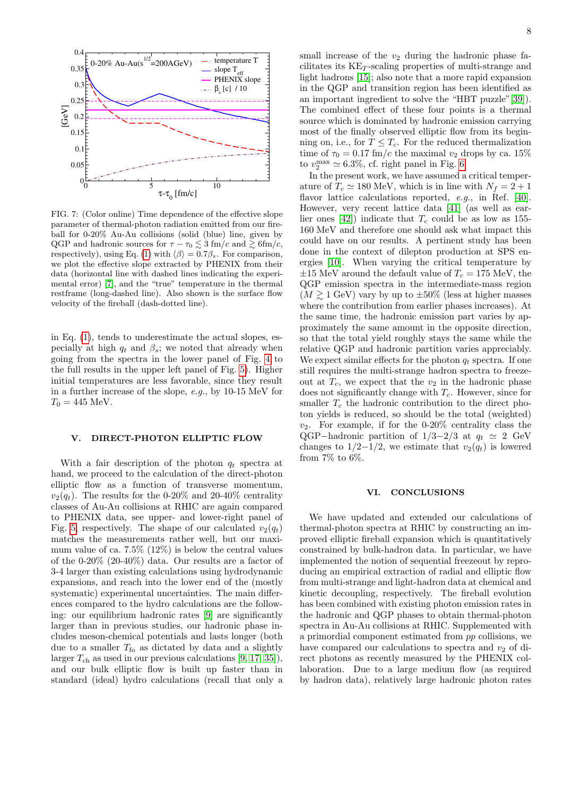

<span id="page-7-2"></span>FIG. 7: (Color online) Time dependence of the effective slope parameter of thermal-photon radiation emitted from our fireball for 0-20% Au-Au collisions (solid (blue) line, given by QGP and hadronic sources for  $\tau - \tau_0 \leq 3$  fm/c and  $\geq 6$ fm/c, respectively), using Eq. [\(1\)](#page-6-1) with  $\langle \beta \rangle = 0.7\beta_s$ . For comparison, we plot the effective slope extracted by PHENIX from their data (horizontal line with dashed lines indicating the experimental error) [\[7\]](#page-8-4), and the "true" temperature in the thermal restframe (long-dashed line). Also shown is the surface flow velocity of the fireball (dash-dotted line).

in Eq. [\(1\)](#page-6-1), tends to underestimate the actual slopes, especially at high  $q_t$  and  $\beta_s$ ; we noted that already when going from the spectra in the lower panel of Fig. [4](#page-4-1) to the full results in the upper left panel of Fig. [5\)](#page-5-0). Higher initial temperatures are less favorable, since they result in a further increase of the slope, e.g., by 10-15 MeV for  $T_0 = 445$  MeV.

#### <span id="page-7-0"></span>V. DIRECT-PHOTON ELLIPTIC FLOW

With a fair description of the photon  $q_t$  spectra at hand, we proceed to the calculation of the direct-photon elliptic flow as a function of transverse momentum,  $v_2(q_t)$ . The results for the 0-20% and 20-40% centrality classes of Au-Au collisions at RHIC are again compared to PHENIX data, see upper- and lower-right panel of Fig. [5,](#page-5-0) respectively. The shape of our calculated  $v_2(q_t)$ matches the measurements rather well, but our maximum value of ca. 7.5% (12%) is below the central values of the 0-20% (20-40%) data. Our results are a factor of 3-4 larger than existing calculations using hydrodynamic expansions, and reach into the lower end of the (mostly systematic) experimental uncertainties. The main differences compared to the hydro calculations are the following: our equilibrium hadronic rates [\[9\]](#page-8-11) are significantly larger than in previous studies, our hadronic phase includes meson-chemical potentials and lasts longer (both due to a smaller  $T_{\text{fo}}$  as dictated by data and a slightly larger  $T_{ch}$  as used in our previous calculations [\[9,](#page-8-11) [17,](#page-8-12) [35\]](#page-8-29)), and our bulk elliptic flow is built up faster than in standard (ideal) hydro calculations (recall that only a

small increase of the  $v_2$  during the hadronic phase facilitates its  $KE_T$ -scaling properties of multi-strange and light hadrons [\[15\]](#page-8-9); also note that a more rapid expansion in the QGP and transition region has been identified as an important ingredient to solve the "HBT puzzle"[\[39\]](#page-9-3)). The combined effect of these four points is a thermal source which is dominated by hadronic emission carrying most of the finally observed elliptic flow from its beginning on, i.e., for  $T \leq T_c$ . For the reduced thermalization time of  $\tau_0 = 0.17$  fm/c the maximal  $v_2$  drops by ca. 15% to  $v_2^{\text{max}} \simeq 6.3\%$  $v_2^{\text{max}} \simeq 6.3\%$  $v_2^{\text{max}} \simeq 6.3\%$ , cf. right panel in Fig. 6.

In the present work, we have assumed a critical temperature of  $T_c \simeq 180$  MeV, which is in line with  $N_f = 2 + 1$ flavor lattice calculations reported, e.g., in Ref. [\[40\]](#page-9-4). However, very recent lattice data [\[41\]](#page-9-5) (as well as ear-lier ones [\[42\]](#page-9-6)) indicate that  $T_c$  could be as low as 155-160 MeV and therefore one should ask what impact this could have on our results. A pertinent study has been done in the context of dilepton production at SPS energies [\[10\]](#page-8-5). When varying the critical temperature by  $\pm 15$  MeV around the default value of  $T_c = 175$  MeV, the QGP emission spectra in the intermediate-mass region  $(M \geq 1$  GeV) vary by up to  $\pm 50\%$  (less at higher masses where the contribution from earlier phases increases). At the same time, the hadronic emission part varies by approximately the same amount in the opposite direction, so that the total yield roughly stays the same while the relative QGP and hadronic partition varies appreciably. We expect similar effects for the photon  $q_t$  spectra. If one still requires the multi-strange hadron spectra to freezeout at  $T_c$ , we expect that the  $v_2$  in the hadronic phase does not significantly change with  $T_c$ . However, since for smaller  $T_c$  the hadronic contribution to the direct photon yields is reduced, so should be the total (weighted)  $v_2$ . For example, if for the 0-20% centrality class the QGP-hadronic partition of  $1/3-2/3$  at  $q_t \simeq 2$  GeV changes to  $1/2-1/2$ , we estimate that  $v_2(q_t)$  is lowered from 7% to 6%.

#### <span id="page-7-1"></span>VI. CONCLUSIONS

We have updated and extended our calculations of thermal-photon spectra at RHIC by constructing an improved elliptic fireball expansion which is quantitatively constrained by bulk-hadron data. In particular, we have implemented the notion of sequential freezeout by reproducing an empirical extraction of radial and elliptic flow from multi-strange and light-hadron data at chemical and kinetic decoupling, respectively. The fireball evolution has been combined with existing photon emission rates in the hadronic and QGP phases to obtain thermal-photon spectra in Au-Au collisions at RHIC. Supplemented with a primordial component estimated from pp collisions, we have compared our calculations to spectra and  $v_2$  of direct photons as recently measured by the PHENIX collaboration. Due to a large medium flow (as required by hadron data), relatively large hadronic photon rates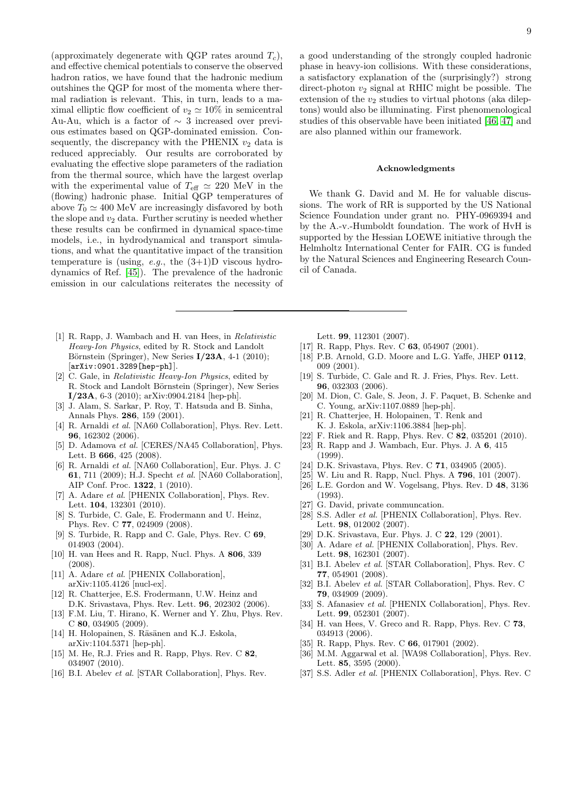(approximately degenerate with QGP rates around  $T_c$ ), and effective chemical potentials to conserve the observed hadron ratios, we have found that the hadronic medium outshines the QGP for most of the momenta where thermal radiation is relevant. This, in turn, leads to a maximal elliptic flow coefficient of  $v_2 \simeq 10\%$  in semicentral Au-Au, which is a factor of  $\sim$  3 increased over previous estimates based on QGP-dominated emission. Consequently, the discrepancy with the PHENIX  $v_2$  data is reduced appreciably. Our results are corroborated by evaluating the effective slope parameters of the radiation from the thermal source, which have the largest overlap with the experimental value of  $T_{\text{eff}} \simeq 220 \text{ MeV}$  in the (flowing) hadronic phase. Initial QGP temperatures of above  $T_0 \simeq 400 \text{ MeV}$  are increasingly disfavored by both the slope and  $v_2$  data. Further scrutiny is needed whether these results can be confirmed in dynamical space-time models, i.e., in hydrodynamical and transport simulations, and what the quantitative impact of the transition temperature is (using, *e.g.*, the  $(3+1)D$  viscous hydrodynamics of Ref. [\[45\]](#page-9-7)). The prevalence of the hadronic emission in our calculations reiterates the necessity of

- <span id="page-8-0"></span>[1] R. Rapp, J. Wambach and H. van Hees, in Relativistic Heavy-Ion Physics, edited by R. Stock and Landolt Börnstein (Springer), New Series  $I/23A$ , 4-1 (2010); [arXiv:0901.3289[hep-ph]].
- [2] C. Gale, in Relativistic Heavy-Ion Physics, edited by R. Stock and Landolt Börnstein (Springer), New Series I/23A, 6-3 (2010); arXiv:0904.2184 [hep-ph].
- <span id="page-8-1"></span>[3] J. Alam, S. Sarkar, P. Roy, T. Hatsuda and B. Sinha, Annals Phys. 286, 159 (2001).
- <span id="page-8-2"></span>[4] R. Arnaldi et al. [NA60 Collaboration], Phys. Rev. Lett. 96, 162302 (2006).
- <span id="page-8-16"></span>[5] D. Adamova et al. [CERES/NA45 Collaboration], Phys. Lett. B **666**, 425 (2008).
- <span id="page-8-3"></span>[6] R. Arnaldi et al. [NA60 Collaboration], Eur. Phys. J. C 61, 711 (2009); H.J. Specht et al. [NA60 Collaboration], AIP Conf. Proc. 1322, 1 (2010).
- <span id="page-8-4"></span>[7] A. Adare et al. [PHENIX Collaboration], Phys. Rev. Lett. 104, 132301 (2010).
- [8] S. Turbide, C. Gale, E. Frodermann and U. Heinz, Phys. Rev. C 77, 024909 (2008).
- <span id="page-8-11"></span>[9] S. Turbide, R. Rapp and C. Gale, Phys. Rev. C 69, 014903 (2004).
- <span id="page-8-5"></span>[10] H. van Hees and R. Rapp, Nucl. Phys. A 806, 339 (2008).
- <span id="page-8-6"></span>[11] A. Adare et al. [PHENIX Collaboration], arXiv:1105.4126 [nucl-ex].
- <span id="page-8-7"></span>[12] R. Chatterjee, E.S. Frodermann, U.W. Heinz and D.K. Srivastava, Phys. Rev. Lett. 96, 202302 (2006).
- [13] F.M. Liu, T. Hirano, K. Werner and Y. Zhu, Phys. Rev. C 80, 034905 (2009).
- <span id="page-8-8"></span>[14] H. Holopainen, S. Räsänen and K.J. Eskola, arXiv:1104.5371 [hep-ph].
- <span id="page-8-9"></span>[15] M. He, R.J. Fries and R. Rapp, Phys. Rev. C 82, 034907 (2010).
- <span id="page-8-10"></span>[16] B.I. Abelev *et al.* [STAR Collaboration], Phys. Rev.

a good understanding of the strongly coupled hadronic phase in heavy-ion collisions. With these considerations, a satisfactory explanation of the (surprisingly?) strong direct-photon  $v_2$  signal at RHIC might be possible. The extension of the  $v_2$  studies to virtual photons (aka dileptons) would also be illuminating. First phenomenological studies of this observable have been initiated [\[46,](#page-9-8) [47\]](#page-9-9) and are also planned within our framework.

#### Acknowledgments

We thank G. David and M. He for valuable discussions. The work of RR is supported by the US National Science Foundation under grant no. PHY-0969394 and by the A.-v.-Humboldt foundation. The work of HvH is supported by the Hessian LOEWE initiative through the Helmholtz International Center for FAIR. CG is funded by the Natural Sciences and Engineering Research Council of Canada.

Lett. 99, 112301 (2007).

- <span id="page-8-12"></span>[17] R. Rapp, Phys. Rev. C **63**, 054907 (2001).
- <span id="page-8-13"></span>[18] P.B. Arnold, G.D. Moore and L.G. Yaffe, JHEP 0112, 009 (2001).
- <span id="page-8-23"></span>[19] S. Turbide, C. Gale and R. J. Fries, Phys. Rev. Lett. 96, 032303 (2006).
- <span id="page-8-32"></span>[20] M. Dion, C. Gale, S. Jeon, J. F. Paquet, B. Schenke and C. Young, arXiv:1107.0889 [hep-ph].
- <span id="page-8-33"></span>[21] R. Chatterjee, H. Holopainen, T. Renk and K. J. Eskola, arXiv:1106.3884 [hep-ph].
- <span id="page-8-14"></span>[22] F. Riek and R. Rapp, Phys. Rev. C 82, 035201 (2010).
- <span id="page-8-15"></span>[23] R. Rapp and J. Wambach, Eur. Phys. J. A 6, 415 (1999).
- <span id="page-8-17"></span>[24] D.K. Srivastava, Phys. Rev. C 71, 034905 (2005).
- <span id="page-8-18"></span>[25] W. Liu and R. Rapp, Nucl. Phys. A **796**, 101 (2007).
- <span id="page-8-21"></span>[26] L.E. Gordon and W. Vogelsang, Phys. Rev. D 48, 3136 (1993).
- <span id="page-8-22"></span>[27] G. David, private communcation.
- <span id="page-8-19"></span>[28] S.S. Adler *et al.* [PHENIX Collaboration], Phys. Rev. Lett. 98, 012002 (2007).
- <span id="page-8-20"></span>[29] D.K. Srivastava, Eur. Phys. J. C 22, 129 (2001).
- <span id="page-8-24"></span>[30] A. Adare *et al.* [PHENIX Collaboration], Phys. Rev. Lett. 98, 162301 (2007).
- <span id="page-8-26"></span>[31] B.I. Abelev et al. [STAR Collaboration], Phys. Rev. C 77, 054901 (2008).
- <span id="page-8-25"></span>[32] B.I. Abelev et al. [STAR Collaboration], Phys. Rev. C 79, 034909 (2009).
- <span id="page-8-27"></span>[33] S. Afanasiev et al. [PHENIX Collaboration], Phys. Rev. Lett. 99, 052301 (2007).
- <span id="page-8-28"></span>[34] H. van Hees, V. Greco and R. Rapp, Phys. Rev. C 73, 034913 (2006).
- <span id="page-8-29"></span>[35] R. Rapp, Phys. Rev. C **66**, 017901 (2002).
- <span id="page-8-30"></span>[36] M.M. Aggarwal et al. [WA98 Collaboration], Phys. Rev. Lett. 85, 3595 (2000).
- <span id="page-8-31"></span>[37] S.S. Adler et al. [PHENIX Collaboration], Phys. Rev. C